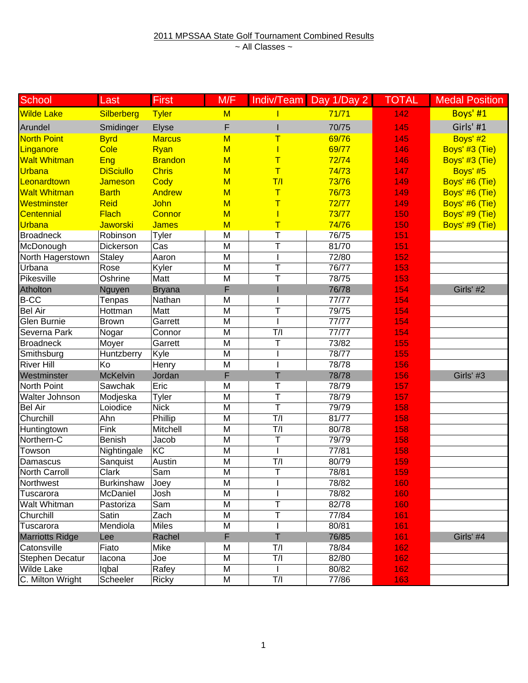| School                 | Last              | <b>First</b>   | M/F                     |                          | Indiv/Team Day 1/Day 2 | <b>TOTAL</b> | <b>Medal Position</b> |
|------------------------|-------------------|----------------|-------------------------|--------------------------|------------------------|--------------|-----------------------|
| Wilde Lake             | Silberberg        | <b>Tyler</b>   | M                       |                          | 71/71                  | 142          | Boys' #1              |
| Arundel                | Smidinger         | Elyse          | F                       |                          | 70/75                  | 145          | Girls' #1             |
| North Point            | <b>Byrd</b>       | <b>Marcus</b>  | M                       |                          | 69/76                  | 145          | Boys' #2              |
| Linganore              | Cole              | Ryan           | M                       |                          | 69/77                  | 146          | Boys' #3 (Tie)        |
| Walt Whitman           | Eng               | <b>Brandon</b> | $M$                     | Т                        | 72/74                  | 146          | Boys' #3 (Tie)        |
| Urbana                 | <b>DiSciullo</b>  | <b>Chris</b>   | M                       | T                        | 74/73                  | 147          | Boys' #5              |
| Leonardtown            | <b>Jameson</b>    | Cody           | M                       | T/I                      | 73/76                  | 149          | Boys' #6 (Tie)        |
| <b>Walt Whitman</b>    | <b>Barth</b>      | <b>Andrew</b>  | M                       | T                        | 76/73                  | 149          | Boys' #6 (Tie)        |
| Westminster            | <b>Reid</b>       | John           | M                       | T                        | 72/77                  | 149          | Boys' #6 (Tie)        |
| <b>Centennial</b>      | <b>Flach</b>      | Connor         | M                       |                          | 73/77                  | 150          | Boys' #9 (Tie)        |
| Urbana                 | <b>Jaworski</b>   | <b>James</b>   | M                       | Τ                        | 74/76                  | 150          | Boys' #9 (Tie)        |
| <b>Broadneck</b>       | Robinson          | Tyler          | M                       | T                        | 76/75                  | 151          |                       |
| McDonough              | Dickerson         | Cas            | M                       | T                        | 81/70                  | 151          |                       |
| North Hagerstown       | <b>Staley</b>     | Aaron          | M                       | $\overline{\phantom{a}}$ | 72/80                  | 152          |                       |
| Urbana                 | Rose              | Kyler          | M                       | Ŧ                        | 76/77                  | 153          |                       |
| <b>Pikesville</b>      | Oshrine           | Matt           | M                       | T                        | 78/75                  | 153          |                       |
| Atholton               | Nguyen            | <b>Bryana</b>  | F                       |                          | 76/78                  | 154          | Girls' #2             |
| <b>B-CC</b>            | Tenpas            | Nathan         | M                       |                          | 77/77                  | 154          |                       |
| Bel Air                | Hottman           | Matt           | M                       | T                        | 79/75                  | 154          |                       |
| Glen Burnie            | <b>Brown</b>      | Garrett        | M                       |                          | 77/77                  | 154          |                       |
| Severna Park           | Nogar             | Connor         | M                       | T/I                      | 77/77                  | 154          |                       |
| <b>Broadneck</b>       | Moyer             | Garrett        | $\overline{\mathsf{M}}$ | Ŧ                        | 73/82                  | 155          |                       |
| Smithsburg             | Huntzberry        | Kyle           | M                       |                          | 78/77                  | 155          |                       |
| <b>River Hill</b>      | Ko                | Henry          | M                       |                          | 78/78                  | 156          |                       |
| Westminster            | <b>McKelvin</b>   | Jordan         | F                       | T                        | 78/78                  | 156          | Girls' #3             |
| North Point            | Sawchak           | Eric           | M                       | Τ                        | 78/79                  | 157          |                       |
| Walter Johnson         | Modjeska          | Tyler          | M                       | T                        | 78/79                  | 157          |                       |
| <b>Bel Air</b>         | Loiodice          | <b>Nick</b>    | M                       | $\overline{\mathsf{T}}$  | 79/79                  | 158          |                       |
| Churchill              | Ahn               | Phillip        | M                       | T/I                      | 81/77                  | 158          |                       |
| Huntingtown            | Fink              | Mitchell       | M                       | T/I                      | 80/78                  | 158          |                       |
| Northern-C             | Benish            | Jacob          | M                       | T                        | 79/79                  | 158          |                       |
| Towson                 | Nightingale       | KC             | M                       |                          | 77/81                  | 158          |                       |
| Damascus               | Sanquist          | Austin         | M                       | T/I                      | 80/79                  | 159          |                       |
| <b>North Carroll</b>   | Clark             | Sam            | M                       | $\overline{\mathsf{T}}$  | 78/81                  | 159          |                       |
| Northwest              | <b>Burkinshaw</b> | Joey           | M                       |                          | 78/82                  | 160          |                       |
| Tuscarora              | McDaniel          | Josh           | M                       |                          | 78/82                  | 160          |                       |
| Walt Whitman           | Pastoriza         | Sam            | M                       | T                        | 82/78                  | 160          |                       |
| Churchill              | Satin             | Zach           | M                       | Т                        | 77/84                  | 161          |                       |
| Tuscarora              | Mendiola          | <b>Miles</b>   | M                       |                          | 80/81                  | 161          |                       |
| <b>Marriotts Ridge</b> | Lee               | Rachel         | F                       | T                        | 76/85                  | 161          | Girls' #4             |
| Catonsville            | Fiato             | Mike           | M                       | T/I                      | 78/84                  | 162          |                       |
| Stephen Decatur        | lacona            | Joe            | M                       | T/I                      | 82/80                  | 162          |                       |
| Wilde Lake             | lqbal             | Rafey          | M                       |                          | 80/82                  | 162          |                       |
| C. Milton Wright       | Scheeler          | <b>Ricky</b>   | M                       | T/I                      | 77/86                  | 163          |                       |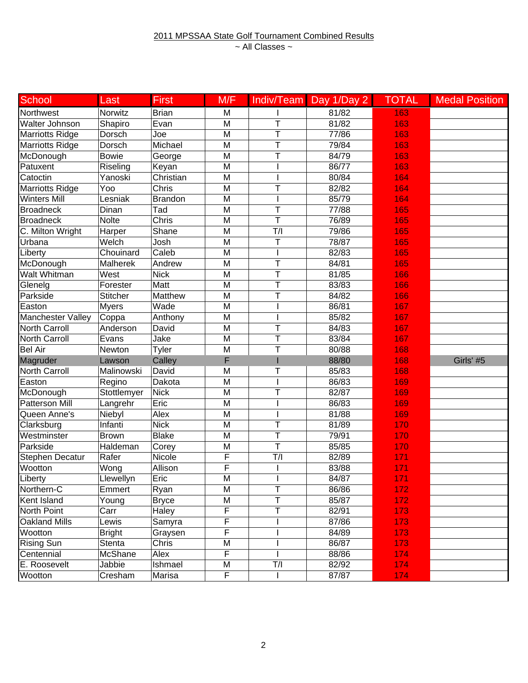| School                 | Last                   | <b>First</b>   | M/F                     |     | Indiv/Team Day 1/Day 2 | <b>TOTAL</b> | <b>Medal Position</b> |
|------------------------|------------------------|----------------|-------------------------|-----|------------------------|--------------|-----------------------|
| Northwest              | Norwitz                | <b>Brian</b>   | M                       |     | 81/82                  | 163          |                       |
| Walter Johnson         | Shapiro                | Evan           | M                       | T   | 81/82                  | 163          |                       |
| Marriotts Ridge        | Dorsch                 | Joe            | M                       | T   | 77/86                  | 163          |                       |
| <b>Marriotts Ridge</b> | Dorsch                 | Michael        | M                       | T   | 79/84                  | 163          |                       |
| McDonough              | <b>Bowie</b>           | George         | M                       | T   | 84/79                  | 163          |                       |
| Patuxent               | $\overline{R}$ iseling | Keyan          | M                       |     | 86/77                  | 163          |                       |
| Catoctin               | Yanoski                | Christian      | M                       |     | 80/84                  | 164          |                       |
| <b>Marriotts Ridge</b> | Yoo                    | Chris          | M                       | T   | 82/82                  | 164          |                       |
| <b>Winters Mill</b>    | Lesniak                | <b>Brandon</b> | M                       |     | 85/79                  | 164          |                       |
| <b>Broadneck</b>       | Dinan                  | Tad            | M                       | T   | 77/88                  | 165          |                       |
| <b>Broadneck</b>       | <b>Nolte</b>           | Chris          | M                       | T   | 76/89                  | 165          |                       |
| C. Milton Wright       | Harper                 | Shane          | M                       | T/I | 79/86                  | 165          |                       |
| Urbana                 | Welch                  | Josh           | M                       | T   | 78/87                  | 165          |                       |
| Liberty                | Chouinard              | Caleb          | M                       |     | 82/83                  | 165          |                       |
| McDonough              | <b>Malherek</b>        | Andrew         | M                       | T   | 84/81                  | 165          |                       |
| Walt Whitman           | West                   | <b>Nick</b>    | M                       | T   | 81/85                  | 166          |                       |
| Glenelg                | Forester               | Matt           | M                       | T   | 83/83                  | 166          |                       |
| Parkside               | <b>Stitcher</b>        | Matthew        | M                       | T   | 84/82                  | 166          |                       |
| Easton                 | <b>Myers</b>           | Wade           | $\overline{\mathsf{M}}$ |     | 86/81                  | 167          |                       |
| Manchester Valley      | Coppa                  | Anthony        | M                       |     | 85/82                  | 167          |                       |
| <b>North Carroll</b>   | Anderson               | David          | M                       | T   | 84/83                  | 167          |                       |
| <b>North Carroll</b>   | Evans                  | Jake           | M                       | T   | 83/84                  | 167          |                       |
| <b>Bel Air</b>         | Newton                 | Tyler          | M                       | T   | 80/88                  | 168          |                       |
| Magruder               | Lawson                 | Calley         | F                       |     | 88/80                  | 168          | Girls' #5             |
| <b>North Carroll</b>   | Malinowski             | David          | M                       | T   | 85/83                  | 168          |                       |
| Easton                 | Regino                 | Dakota         | M                       |     | 86/83                  | 169          |                       |
| McDonough              | Stottlemyer            | <b>Nick</b>    | $\overline{M}$          | T   | 82/87                  | 169          |                       |
| <b>Patterson Mill</b>  | Langrehr               | Eric           | M                       |     | 86/83                  | 169          |                       |
| Queen Anne's           | Niebyl                 | Alex           | M                       |     | 81/88                  | 169          |                       |
| Clarksburg             | Infanti                | <b>Nick</b>    | M                       | T   | 81/89                  | 170          |                       |
| Westminster            | <b>Brown</b>           | <b>Blake</b>   | M                       | T   | 79/91                  | 170          |                       |
| Parkside               | Haldeman               | Corey          | M                       | T   | 85/85                  | 170          |                       |
| <b>Stephen Decatur</b> | Rafer                  | Nicole         | F                       | T/I | 82/89                  | 171          |                       |
| Wootton                | Wong                   | Allison        | F                       |     | 83/88                  | 171          |                       |
| Liberty                | Llewellyn              | Eric           | M                       |     | 84/87                  | 171          |                       |
| Northern-C             | Emmert                 | Ryan           | M                       | T   | 86/86                  | 172          |                       |
| Kent Island            | Young                  | <b>Bryce</b>   | M                       | Т   | 85/87                  | 172          |                       |
| North Point            | Carr                   | Haley          | F                       | T   | 82/91                  | 173          |                       |
| Oakland Mills          | Lewis                  | Samyra         | F                       |     | 87/86                  | 173          |                       |
| Wootton                | <b>Bright</b>          | Graysen        | F                       |     | 84/89                  | 173          |                       |
| Rising Sun             | Stenta                 | Chris          | M                       |     | 86/87                  | 173          |                       |
| Centennial             | McShane                | Alex           | F                       |     | 88/86                  | 174          |                       |
| E. Roosevelt           | Jabbie                 | Ishmael        | M                       | T/I | 82/92                  | 174          |                       |
| Wootton                | Cresham                | Marisa         | F                       |     | 87/87                  | 174          |                       |